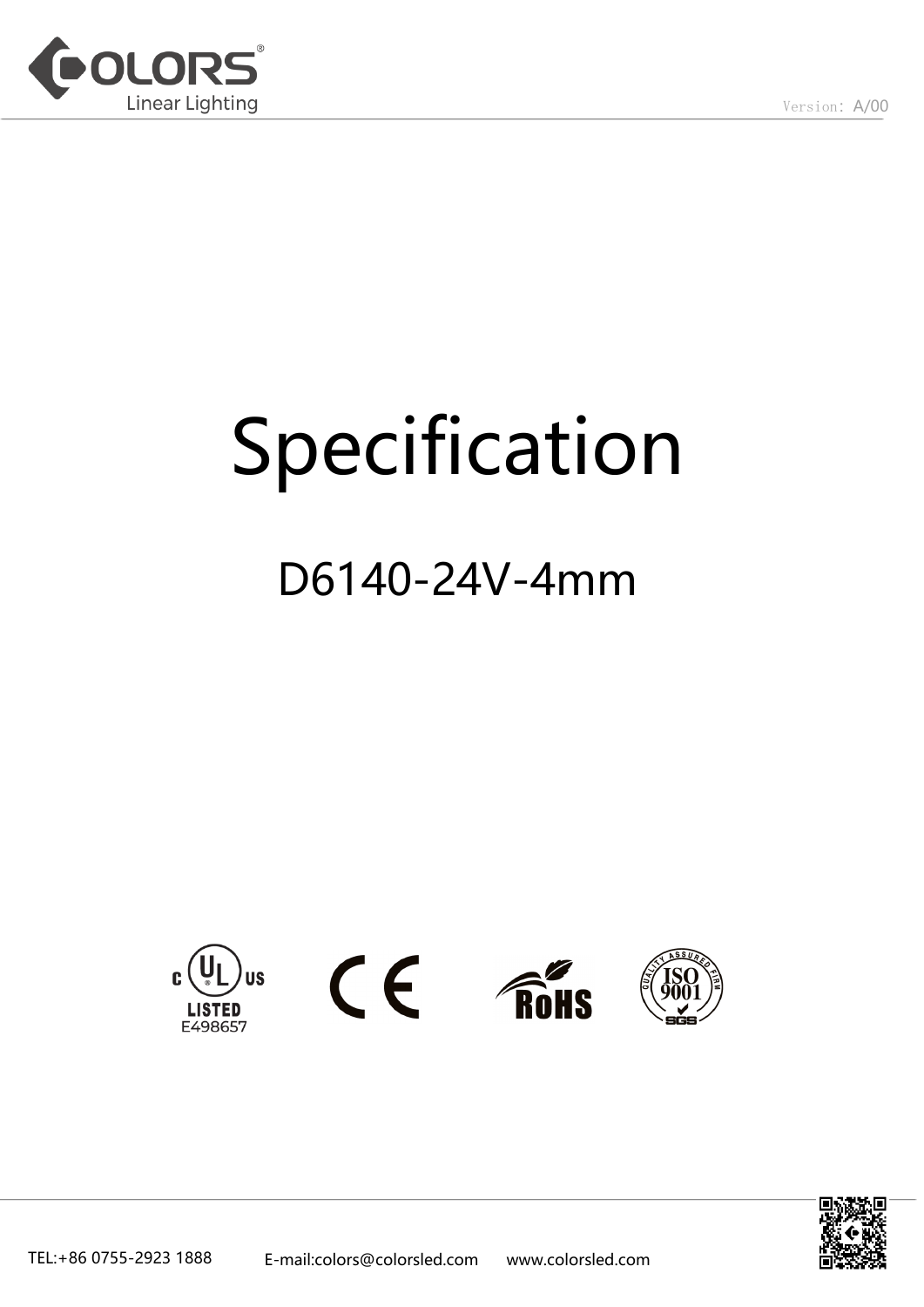

# Specification

## D6140-24V-4mm









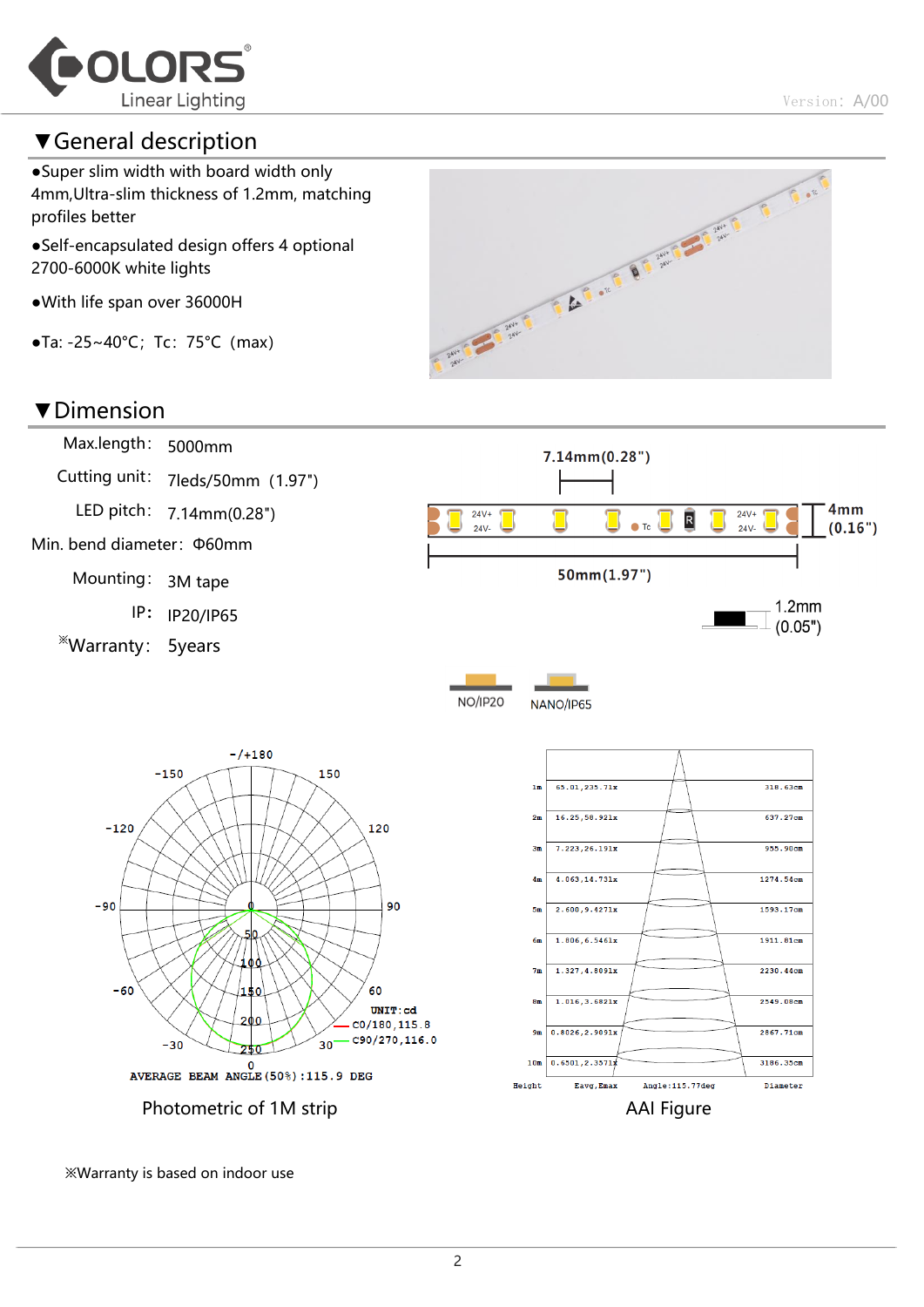

#### ▼General description

●Super slim width with board width only 4mm,Ultra-slim thickness of 1.2mm, matching profiles better

●Self-encapsulated design offers 4 optional 2700-6000K white lights

- ●With life span over 36000H
- ●Ta: -25~40°C;Tc:75°C(max)



#### ▼Dimension Max.length: 5000mm  $7.14mm(0.28")$ Cutting unit: 7leds/50mm(1.97") LED pitch: 7.14mm(0.28")  $4mm$  $24V+$  $24V+$  $\overline{\mathsf{R}}$  $\bullet$  Tc  $24V 24V$  $(0.16")$ Min. bend diameter:Φ60mm  $50mm(1.97")$ Mounting: 3M tape  $1.2<sub>mm</sub>$ IP: IP20/IP65  $(0.05")$ ※Warranty: 5years **NO/IP20** NANO/IP65  $- / + 180$  $-150$ 150 65.01.235.71x  $318.63cm$  $1\pi$  $16.25.58.921x$ 637.27cm  $2\pi$  $-120$ 120  $7.223.26.191x$ 955.90cm  $3<sub>π</sub>$  $4\pi$ 4.063.14.731x 1274.54cm  $-90$ 90  $2.600.9.4271x$ 1593.17cm  $5<sub>\pi</sub>$ 50  $6\pi$ 1.806, 6.5461x 1911.81cm 100  $7<sub>π</sub>$  $1.327, 4.8091x$ 2230.44cm  $-60$ 60 150  $8\pi$  $1.016.3.6821x$ 2549.08cm  $\texttt{UNIT:cd}$ 200  $CO/180, 115.8$  $9<sub>π</sub>$  $0.8026, 2.9091x$ 2867.71cm  $-c90/270, 116.0$  $-30$  $30$  $0.6501, 2.3571$ 3186.35cm  $10<sub>\pi</sub>$  $0$ <br>AVERAGE BEAM ANGLE (50%) : 115.9 DEG Eavg, Emax Angle:115.77deg Diameter Height Photometric of 1M strip **AAI Figure** AAI Figure

※Warranty is based on indoor use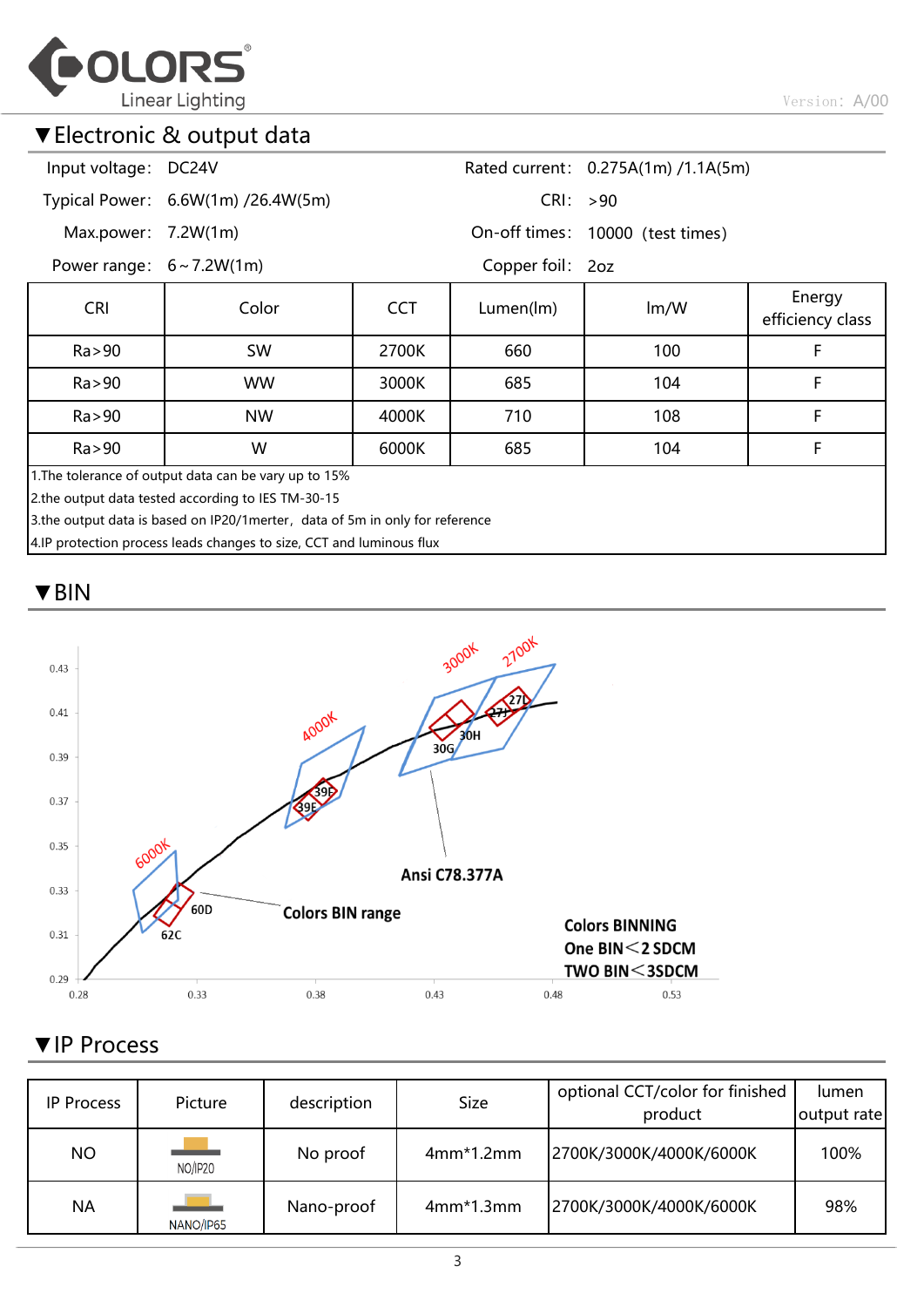

#### ▼Electronic & output data

| Input voltage: DC24V                                                          |                                    |            |                                  | Rated current: 0.275A(1m) /1.1A(5m) |                            |  |  |  |  |
|-------------------------------------------------------------------------------|------------------------------------|------------|----------------------------------|-------------------------------------|----------------------------|--|--|--|--|
|                                                                               | Typical Power: 6.6W(1m) /26.4W(5m) |            | CRI: >90                         |                                     |                            |  |  |  |  |
| Max.power: $7.2W(1m)$                                                         |                                    |            | On-off times: 10000 (test times) |                                     |                            |  |  |  |  |
| Power range: $6 \sim 7.2W(1m)$                                                |                                    |            | Copper foil: 2oz                 |                                     |                            |  |  |  |  |
| <b>CRI</b>                                                                    | Color                              | <b>CCT</b> | Lumen(lm)                        | Im/W                                | Energy<br>efficiency class |  |  |  |  |
| Ra > 90                                                                       | SW                                 | 2700K      | 660                              | 100                                 | F                          |  |  |  |  |
| Ra > 90                                                                       | <b>WW</b>                          | 3000K      | 685                              | 104                                 | F                          |  |  |  |  |
| Ra > 90                                                                       | <b>NW</b>                          | 4000K      | 710                              | 108                                 | F                          |  |  |  |  |
| Ra > 90                                                                       | W                                  | 6000K      | 685                              | 104                                 | F                          |  |  |  |  |
| 1. The tolerance of output data can be vary up to 15%                         |                                    |            |                                  |                                     |                            |  |  |  |  |
| 2.the output data tested according to IES TM-30-15                            |                                    |            |                                  |                                     |                            |  |  |  |  |
| 3.the output data is based on IP20/1 merter, data of 5m in only for reference |                                    |            |                                  |                                     |                            |  |  |  |  |
| 4.IP protection process leads changes to size, CCT and luminous flux          |                                    |            |                                  |                                     |                            |  |  |  |  |

▼BIN



#### ▼IP Process

| <b>IP Process</b> | Picture   | description | <b>Size</b> | optional CCT/color for finished<br>product | lumen<br>output rate |
|-------------------|-----------|-------------|-------------|--------------------------------------------|----------------------|
| <b>NO</b>         | NO/IP20   | No proof    | $4mm*1.2mm$ | 2700K/3000K/4000K/6000K                    | 100%                 |
| <b>NA</b>         | NANO/IP65 | Nano-proof  | $4mm*1.3mm$ | 2700K/3000K/4000K/6000K                    | 98%                  |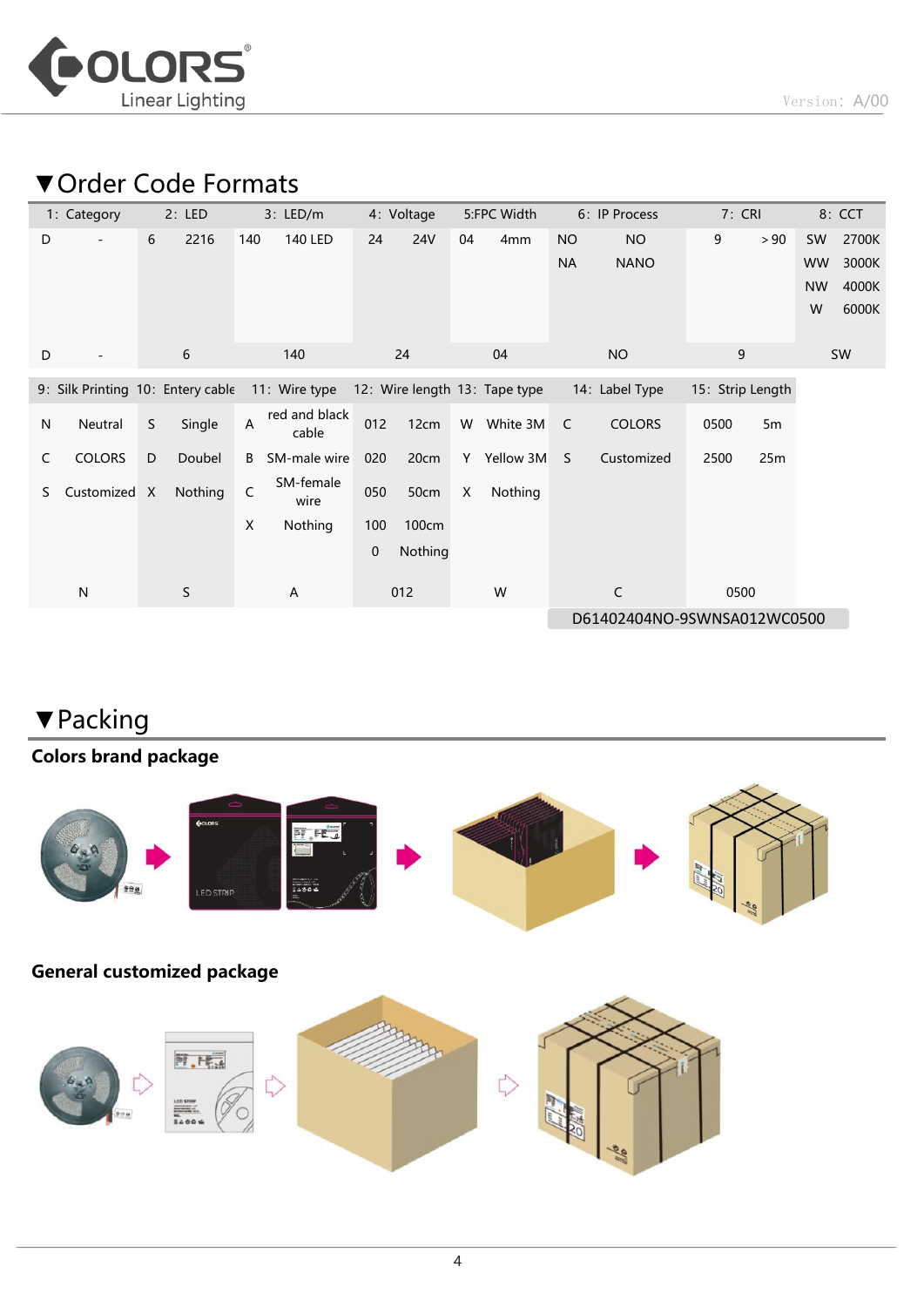

### ▼Order Code Formats

|              | 1: Category                       |   | 2: LED<br>3: LED/m |     | 5:FPC Width<br>4: Voltage |             |            | 6: IP Process               |                               | 7: CRI    |                | 8: CCT           |      |           |       |
|--------------|-----------------------------------|---|--------------------|-----|---------------------------|-------------|------------|-----------------------------|-------------------------------|-----------|----------------|------------------|------|-----------|-------|
| D            |                                   | 6 | 2216               | 140 | <b>140 LED</b>            | 24          | <b>24V</b> | 04                          | 4 <sub>mm</sub>               | <b>NO</b> | <b>NO</b>      | 9                | > 90 | SW        | 2700K |
|              |                                   |   |                    |     |                           |             |            |                             |                               | <b>NA</b> | <b>NANO</b>    |                  |      | <b>WW</b> | 3000K |
|              |                                   |   |                    |     |                           |             |            |                             |                               |           |                |                  |      | <b>NW</b> | 4000K |
|              |                                   |   |                    |     |                           |             |            |                             |                               |           |                |                  |      | W         | 6000K |
| D            |                                   |   | 6                  |     | 140                       |             | 24         |                             | 04                            |           | <b>NO</b>      | 9                |      |           | SW    |
|              | 9: Silk Printing 10: Entery cable |   |                    |     | 11: Wire type             |             |            |                             | 12: Wire length 13: Tape type |           | 14: Label Type | 15: Strip Length |      |           |       |
| $\mathsf{N}$ | Neutral                           | S | Single             | A   | red and black<br>cable    | 012         | 12cm       | W                           | White 3M                      | C         | <b>COLORS</b>  | 0500             | 5m   |           |       |
| C            | <b>COLORS</b>                     | D | Doubel             | B   | SM-male wire              | 020         | 20cm       |                             | Y Yellow 3M                   | S.        | Customized     | 2500             | 25m  |           |       |
| S            | Customized X                      |   | Nothing            | C   | SM-female<br>wire         | 050         | 50cm       | X                           | Nothing                       |           |                |                  |      |           |       |
|              |                                   |   |                    | X   | Nothing                   | 100         | 100cm      |                             |                               |           |                |                  |      |           |       |
|              |                                   |   |                    |     |                           | $\mathbf 0$ | Nothing    |                             |                               |           |                |                  |      |           |       |
|              | N                                 |   | S                  |     | A                         |             | 012        |                             | W                             |           | C              | 0500             |      |           |       |
|              |                                   |   |                    |     |                           |             |            | D61402404NO-9SWNSA012WC0500 |                               |           |                |                  |      |           |       |

#### ▼Packing

#### Colors brand package



#### General customized package